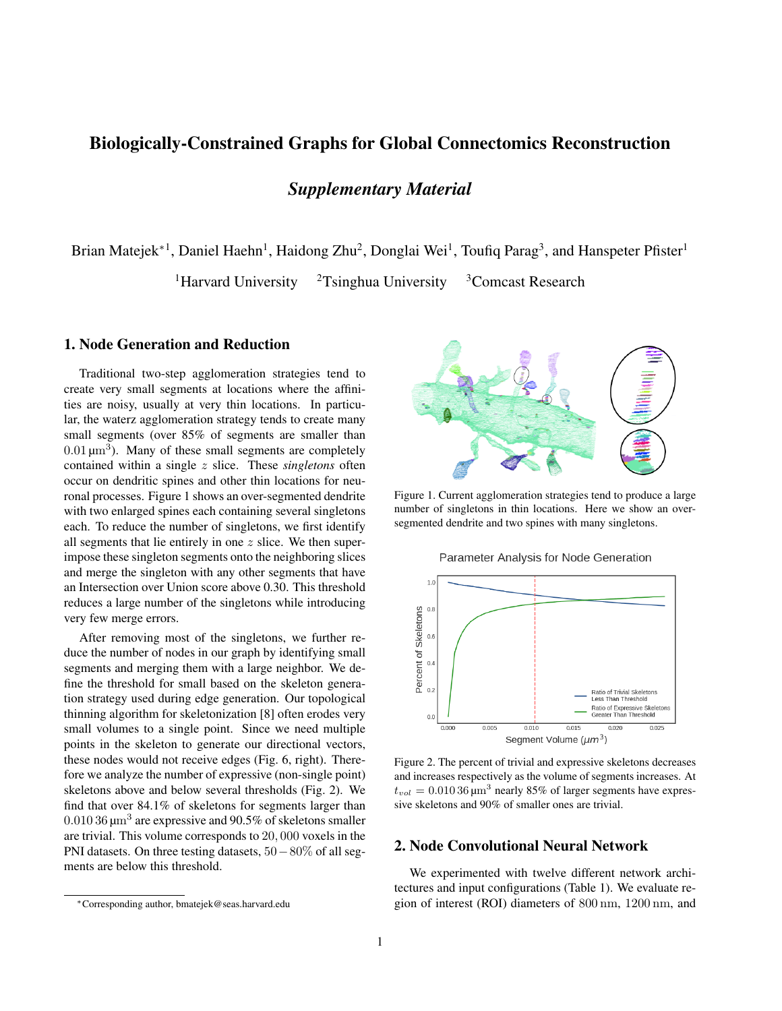# Biologically-Constrained Graphs for Global Connectomics Reconstruction

# *Supplementary Material*

Brian Matejek<sup>∗1</sup>, Daniel Haehn<sup>1</sup>, Haidong Zhu<sup>2</sup>, Donglai Wei<sup>1</sup>, Toufiq Parag<sup>3</sup>, and Hanspeter Pfister<sup>1</sup>

<sup>1</sup>Harvard University  $2T\sin\theta$  University  $3C$  Omcast Research

# 1. Node Generation and Reduction

Traditional two-step agglomeration strategies tend to create very small segments at locations where the affinities are noisy, usually at very thin locations. In particular, the waterz agglomeration strategy tends to create many small segments (over 85% of segments are smaller than  $0.01 \,\mathrm{\mu m^3}$ ). Many of these small segments are completely contained within a single z slice. These *singletons* often occur on dendritic spines and other thin locations for neuronal processes. Figure 1 shows an over-segmented dendrite with two enlarged spines each containing several singletons each. To reduce the number of singletons, we first identify all segments that lie entirely in one z slice. We then superimpose these singleton segments onto the neighboring slices and merge the singleton with any other segments that have an Intersection over Union score above 0.30. This threshold reduces a large number of the singletons while introducing very few merge errors.

After removing most of the singletons, we further reduce the number of nodes in our graph by identifying small segments and merging them with a large neighbor. We define the threshold for small based on the skeleton generation strategy used during edge generation. Our topological thinning algorithm for skeletonization [8] often erodes very small volumes to a single point. Since we need multiple points in the skeleton to generate our directional vectors, these nodes would not receive edges (Fig. 6, right). Therefore we analyze the number of expressive (non-single point) skeletons above and below several thresholds (Fig. 2). We find that over 84.1% of skeletons for segments larger than  $0.01036 \,\mathrm{\upmu m^3}$  are expressive and  $90.5\%$  of skeletons smaller are trivial. This volume corresponds to 20, 000 voxels in the PNI datasets. On three testing datasets, 50−80% of all segments are below this threshold.



Figure 1. Current agglomeration strategies tend to produce a large number of singletons in thin locations. Here we show an oversegmented dendrite and two spines with many singletons.

Parameter Analysis for Node Generation



Figure 2. The percent of trivial and expressive skeletons decreases and increases respectively as the volume of segments increases. At  $t_{vol} = 0.01036 \,\mathrm{\upmu m^3}$  nearly 85% of larger segments have expressive skeletons and 90% of smaller ones are trivial.

### 2. Node Convolutional Neural Network

We experimented with twelve different network architectures and input configurations (Table 1). We evaluate region of interest (ROI) diameters of 800 nm, 1200 nm, and

<sup>∗</sup>Corresponding author, bmatejek@seas.harvard.edu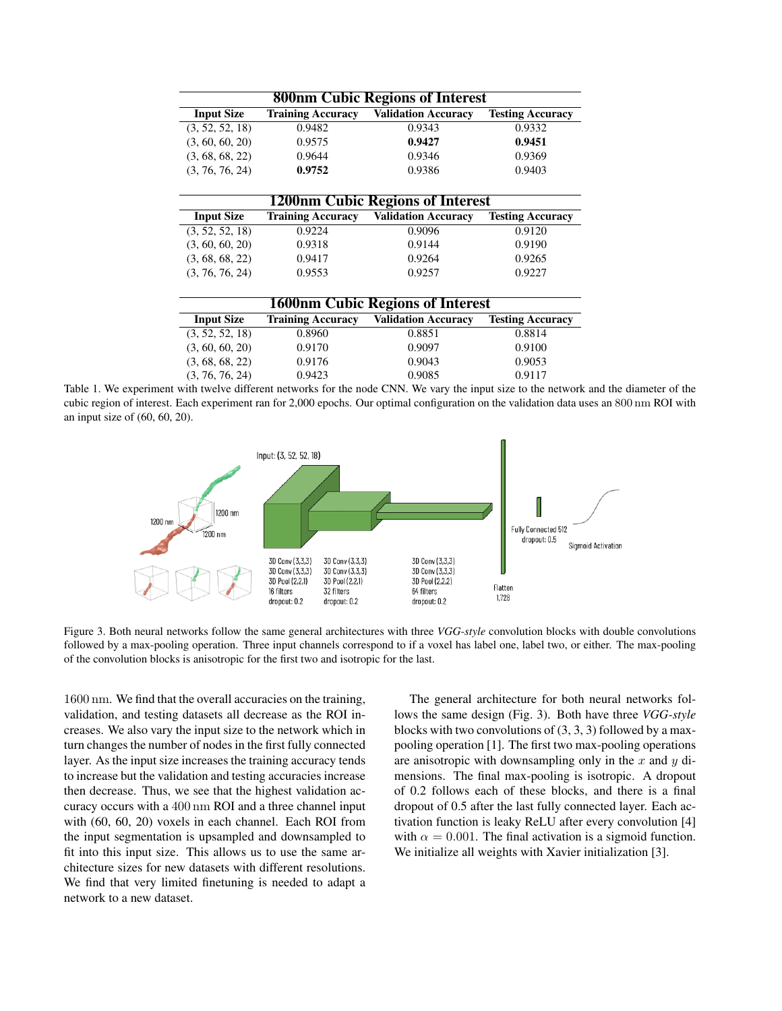| <b>800nm Cubic Regions of Interest</b>  |                          |                            |                         |  |  |  |
|-----------------------------------------|--------------------------|----------------------------|-------------------------|--|--|--|
| <b>Input Size</b>                       | <b>Training Accuracy</b> | <b>Validation Accuracy</b> | <b>Testing Accuracy</b> |  |  |  |
| (3, 52, 52, 18)                         | 0.9482                   | 0.9343                     | 0.9332                  |  |  |  |
| (3, 60, 60, 20)                         | 0.9575                   | 0.9427                     | 0.9451                  |  |  |  |
| (3, 68, 68, 22)                         | 0.9644                   | 0.9346                     | 0.9369                  |  |  |  |
| (3, 76, 76, 24)                         | 0.9752                   | 0.9386                     | 0.9403                  |  |  |  |
| <b>1200nm Cubic Regions of Interest</b> |                          |                            |                         |  |  |  |
| <b>Input Size</b>                       | <b>Training Accuracy</b> | <b>Validation Accuracy</b> | <b>Testing Accuracy</b> |  |  |  |
| (3, 52, 52, 18)                         | 0.9224                   | 0.9096                     | 0.9120                  |  |  |  |
| (3, 60, 60, 20)                         | 0.9318                   | 0.9144                     | 0.9190                  |  |  |  |
| (3, 68, 68, 22)                         | 0.9417                   | 0.9264                     | 0.9265                  |  |  |  |
| (3, 76, 76, 24)                         | 0.9553                   | 0.9257                     | 0.9227                  |  |  |  |
|                                         |                          |                            |                         |  |  |  |
| <b>1600nm Cubic Regions of Interest</b> |                          |                            |                         |  |  |  |
| <b>Input Size</b>                       | <b>Training Accuracy</b> | <b>Validation Accuracy</b> | <b>Testing Accuracy</b> |  |  |  |
| (3, 52, 52, 18)                         | 0.8960                   | 0.8851                     | 0.8814                  |  |  |  |
| (3, 60, 60, 20)                         | 0.9170                   | 0.9097                     | 0.9100                  |  |  |  |
| (3, 68, 68, 22)                         | 0.9176                   | 0.9043                     | 0.9053                  |  |  |  |
| (3, 76, 76, 24)                         | 0.9423                   | 0.9085                     | 0.9117                  |  |  |  |

Table 1. We experiment with twelve different networks for the node CNN. We vary the input size to the network and the diameter of the cubic region of interest. Each experiment ran for 2,000 epochs. Our optimal configuration on the validation data uses an 800 nm ROI with an input size of (60, 60, 20).



Figure 3. Both neural networks follow the same general architectures with three *VGG-style* convolution blocks with double convolutions followed by a max-pooling operation. Three input channels correspond to if a voxel has label one, label two, or either. The max-pooling of the convolution blocks is anisotropic for the first two and isotropic for the last.

1600 nm. We find that the overall accuracies on the training, validation, and testing datasets all decrease as the ROI increases. We also vary the input size to the network which in turn changes the number of nodes in the first fully connected layer. As the input size increases the training accuracy tends to increase but the validation and testing accuracies increase then decrease. Thus, we see that the highest validation accuracy occurs with a 400 nm ROI and a three channel input with (60, 60, 20) voxels in each channel. Each ROI from the input segmentation is upsampled and downsampled to fit into this input size. This allows us to use the same architecture sizes for new datasets with different resolutions. We find that very limited finetuning is needed to adapt a network to a new dataset.

 $\overline{a}$ 

The general architecture for both neural networks follows the same design (Fig. 3). Both have three *VGG-style* blocks with two convolutions of  $(3, 3, 3)$  followed by a maxpooling operation [1]. The first two max-pooling operations are anisotropic with downsampling only in the x and y dimensions. The final max-pooling is isotropic. A dropout of 0.2 follows each of these blocks, and there is a final dropout of 0.5 after the last fully connected layer. Each activation function is leaky ReLU after every convolution [4] with  $\alpha = 0.001$ . The final activation is a sigmoid function. We initialize all weights with Xavier initialization [3].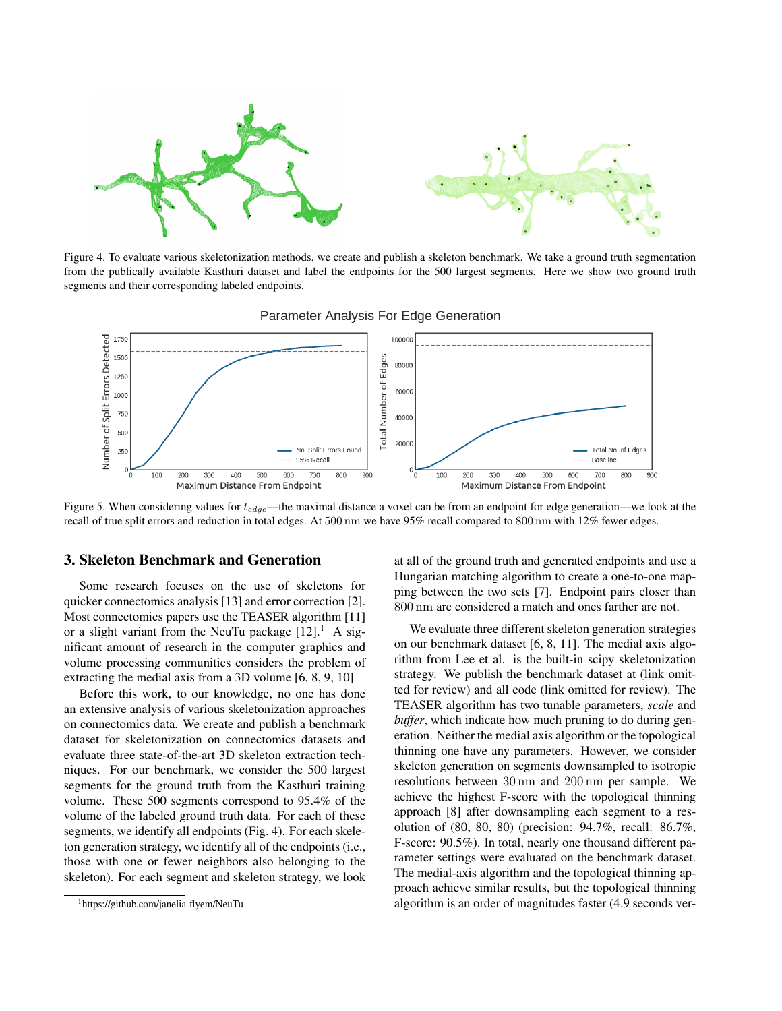

Figure 4. To evaluate various skeletonization methods, we create and publish a skeleton benchmark. We take a ground truth segmentation from the publically available Kasthuri dataset and label the endpoints for the 500 largest segments. Here we show two ground truth segments and their corresponding labeled endpoints.





Figure 5. When considering values for  $t_{edge}$ —the maximal distance a voxel can be from an endpoint for edge generation—we look at the recall of true split errors and reduction in total edges. At 500 nm we have 95% recall compared to 800 nm with 12% fewer edges.

#### 3. Skeleton Benchmark and Generation

Some research focuses on the use of skeletons for quicker connectomics analysis [13] and error correction [2]. Most connectomics papers use the TEASER algorithm [11] or a slight variant from the NeuTu package  $[12]$ .<sup>1</sup> A significant amount of research in the computer graphics and volume processing communities considers the problem of extracting the medial axis from a 3D volume [6, 8, 9, 10]

Before this work, to our knowledge, no one has done an extensive analysis of various skeletonization approaches on connectomics data. We create and publish a benchmark dataset for skeletonization on connectomics datasets and evaluate three state-of-the-art 3D skeleton extraction techniques. For our benchmark, we consider the 500 largest segments for the ground truth from the Kasthuri training volume. These 500 segments correspond to 95.4% of the volume of the labeled ground truth data. For each of these segments, we identify all endpoints (Fig. 4). For each skeleton generation strategy, we identify all of the endpoints (i.e., those with one or fewer neighbors also belonging to the skeleton). For each segment and skeleton strategy, we look at all of the ground truth and generated endpoints and use a Hungarian matching algorithm to create a one-to-one mapping between the two sets [7]. Endpoint pairs closer than 800 nm are considered a match and ones farther are not.

We evaluate three different skeleton generation strategies on our benchmark dataset [6, 8, 11]. The medial axis algorithm from Lee et al. is the built-in scipy skeletonization strategy. We publish the benchmark dataset at (link omitted for review) and all code (link omitted for review). The TEASER algorithm has two tunable parameters, *scale* and *buffer*, which indicate how much pruning to do during generation. Neither the medial axis algorithm or the topological thinning one have any parameters. However, we consider skeleton generation on segments downsampled to isotropic resolutions between 30 nm and 200 nm per sample. We achieve the highest F-score with the topological thinning approach [8] after downsampling each segment to a resolution of (80, 80, 80) (precision: 94.7%, recall: 86.7%, F-score: 90.5%). In total, nearly one thousand different parameter settings were evaluated on the benchmark dataset. The medial-axis algorithm and the topological thinning approach achieve similar results, but the topological thinning algorithm is an order of magnitudes faster (4.9 seconds ver-

<sup>1</sup>https://github.com/janelia-flyem/NeuTu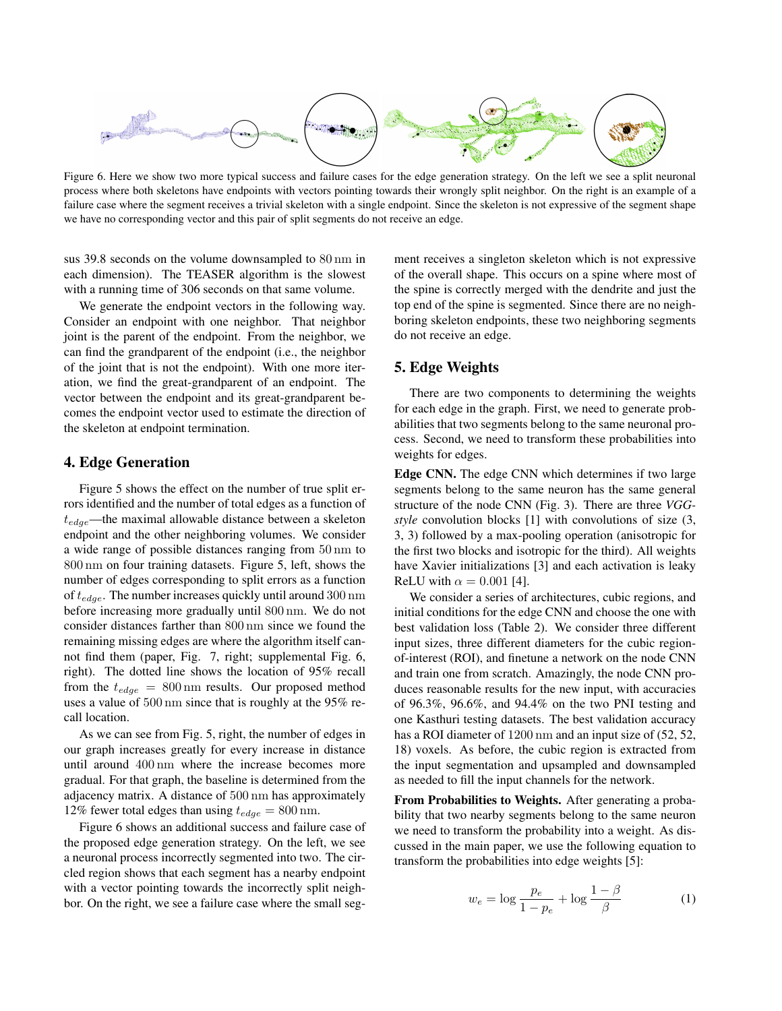

Figure 6. Here we show two more typical success and failure cases for the edge generation strategy. On the left we see a split neuronal process where both skeletons have endpoints with vectors pointing towards their wrongly split neighbor. On the right is an example of a failure case where the segment receives a trivial skeleton with a single endpoint. Since the skeleton is not expressive of the segment shape we have no corresponding vector and this pair of split segments do not receive an edge.

sus 39.8 seconds on the volume downsampled to 80 nm in each dimension). The TEASER algorithm is the slowest with a running time of 306 seconds on that same volume.

We generate the endpoint vectors in the following way. Consider an endpoint with one neighbor. That neighbor joint is the parent of the endpoint. From the neighbor, we can find the grandparent of the endpoint (i.e., the neighbor of the joint that is not the endpoint). With one more iteration, we find the great-grandparent of an endpoint. The vector between the endpoint and its great-grandparent becomes the endpoint vector used to estimate the direction of the skeleton at endpoint termination.

### 4. Edge Generation

Figure 5 shows the effect on the number of true split errors identified and the number of total edges as a function of  $t_{edge}$ —the maximal allowable distance between a skeleton endpoint and the other neighboring volumes. We consider a wide range of possible distances ranging from 50 nm to 800 nm on four training datasets. Figure 5, left, shows the number of edges corresponding to split errors as a function of  $t_{edge}$ . The number increases quickly until around 300 nm before increasing more gradually until 800 nm. We do not consider distances farther than 800 nm since we found the remaining missing edges are where the algorithm itself cannot find them (paper, Fig. 7, right; supplemental Fig. 6, right). The dotted line shows the location of 95% recall from the  $t_{edge} = 800 \text{ nm}$  results. Our proposed method uses a value of 500 nm since that is roughly at the 95% recall location.

As we can see from Fig. 5, right, the number of edges in our graph increases greatly for every increase in distance until around 400 nm where the increase becomes more gradual. For that graph, the baseline is determined from the adjacency matrix. A distance of 500 nm has approximately 12% fewer total edges than using  $t_{edge} = 800$  nm.

Figure 6 shows an additional success and failure case of the proposed edge generation strategy. On the left, we see a neuronal process incorrectly segmented into two. The circled region shows that each segment has a nearby endpoint with a vector pointing towards the incorrectly split neighbor. On the right, we see a failure case where the small segment receives a singleton skeleton which is not expressive of the overall shape. This occurs on a spine where most of the spine is correctly merged with the dendrite and just the top end of the spine is segmented. Since there are no neighboring skeleton endpoints, these two neighboring segments do not receive an edge.

### 5. Edge Weights

There are two components to determining the weights for each edge in the graph. First, we need to generate probabilities that two segments belong to the same neuronal process. Second, we need to transform these probabilities into weights for edges.

Edge CNN. The edge CNN which determines if two large segments belong to the same neuron has the same general structure of the node CNN (Fig. 3). There are three *VGGstyle* convolution blocks [1] with convolutions of size (3, 3, 3) followed by a max-pooling operation (anisotropic for the first two blocks and isotropic for the third). All weights have Xavier initializations [3] and each activation is leaky ReLU with  $\alpha = 0.001$  [4].

We consider a series of architectures, cubic regions, and initial conditions for the edge CNN and choose the one with best validation loss (Table 2). We consider three different input sizes, three different diameters for the cubic regionof-interest (ROI), and finetune a network on the node CNN and train one from scratch. Amazingly, the node CNN produces reasonable results for the new input, with accuracies of 96.3%, 96.6%, and 94.4% on the two PNI testing and one Kasthuri testing datasets. The best validation accuracy has a ROI diameter of 1200 nm and an input size of  $(52, 52, 51)$ 18) voxels. As before, the cubic region is extracted from the input segmentation and upsampled and downsampled as needed to fill the input channels for the network.

From Probabilities to Weights. After generating a probability that two nearby segments belong to the same neuron we need to transform the probability into a weight. As discussed in the main paper, we use the following equation to transform the probabilities into edge weights [5]:

$$
w_e = \log \frac{p_e}{1 - p_e} + \log \frac{1 - \beta}{\beta} \tag{1}
$$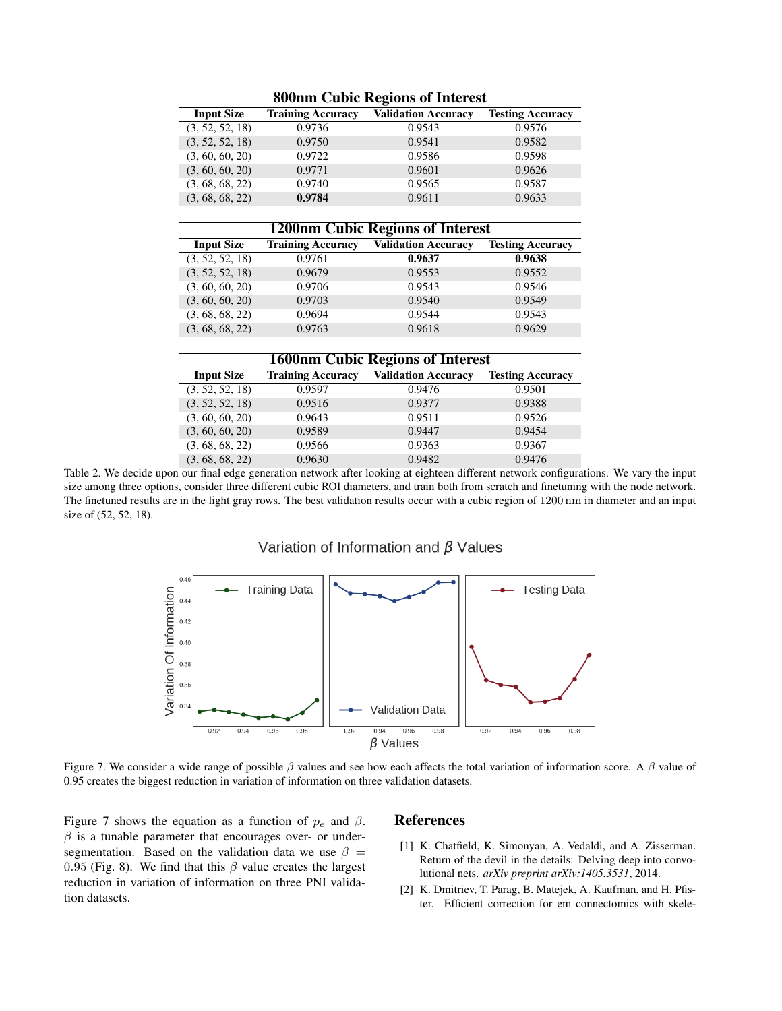| <b>800nm Cubic Regions of Interest</b> |                          |                            |                         |  |  |  |
|----------------------------------------|--------------------------|----------------------------|-------------------------|--|--|--|
| <b>Input Size</b>                      | <b>Training Accuracy</b> | <b>Validation Accuracy</b> | <b>Testing Accuracy</b> |  |  |  |
| (3, 52, 52, 18)                        | 0.9736                   | 0.9543                     | 0.9576                  |  |  |  |
| (3, 52, 52, 18)                        | 0.9750                   | 0.9541                     | 0.9582                  |  |  |  |
| (3, 60, 60, 20)                        | 0.9722                   | 0.9586                     | 0.9598                  |  |  |  |
| (3, 60, 60, 20)                        | 0.9771                   | 0.9601                     | 0.9626                  |  |  |  |
| (3, 68, 68, 22)                        | 0.9740                   | 0.9565                     | 0.9587                  |  |  |  |
| (3, 68, 68, 22)                        | 0.9784                   | 0.9611                     | 0.9633                  |  |  |  |

#### 1200nm Cubic Regions of Interest

| <b>Input Size</b> | <b>Training Accuracy</b> | <b>Validation Accuracy</b> | <b>Testing Accuracy</b> |
|-------------------|--------------------------|----------------------------|-------------------------|
| (3, 52, 52, 18)   | 0.9761                   | 0.9637                     | 0.9638                  |
| (3, 52, 52, 18)   | 0.9679                   | 0.9553                     | 0.9552                  |
| (3, 60, 60, 20)   | 0.9706                   | 0.9543                     | 0.9546                  |
| (3, 60, 60, 20)   | 0.9703                   | 0.9540                     | 0.9549                  |
| (3, 68, 68, 22)   | 0.9694                   | 0.9544                     | 0.9543                  |
| (3, 68, 68, 22)   | 0.9763                   | 0.9618                     | 0.9629                  |
|                   |                          |                            |                         |

### 1600nm Cubic Regions of Interest

| <b>Input Size</b> | <b>Training Accuracy</b> | <b>Validation Accuracy</b> | <b>Testing Accuracy</b> |
|-------------------|--------------------------|----------------------------|-------------------------|
| (3, 52, 52, 18)   | 0.9597                   | 0.9476                     | 0.9501                  |
| (3, 52, 52, 18)   | 0.9516                   | 0.9377                     | 0.9388                  |
| (3, 60, 60, 20)   | 0.9643                   | 0.9511                     | 0.9526                  |
| (3, 60, 60, 20)   | 0.9589                   | 0.9447                     | 0.9454                  |
| (3, 68, 68, 22)   | 0.9566                   | 0.9363                     | 0.9367                  |
| (3, 68, 68, 22)   | 0.9630                   | 0.9482                     | 0.9476                  |

Table 2. We decide upon our final edge generation network after looking at eighteen different network configurations. We vary the input size among three options, consider three different cubic ROI diameters, and train both from scratch and finetuning with the node network. The finetuned results are in the light gray rows. The best validation results occur with a cubic region of 1200 nm in diameter and an input size of (52, 52, 18).

# Variation of Information and  $\beta$  Values



Figure 7. We consider a wide range of possible  $\beta$  values and see how each affects the total variation of information score. A  $\beta$  value of 0.95 creates the biggest reduction in variation of information on three validation datasets.

Figure 7 shows the equation as a function of  $p_e$  and  $\beta$ .  $\beta$  is a tunable parameter that encourages over- or undersegmentation. Based on the validation data we use  $\beta =$ 0.95 (Fig. 8). We find that this  $\beta$  value creates the largest reduction in variation of information on three PNI validation datasets.

### **References**

- [1] K. Chatfield, K. Simonyan, A. Vedaldi, and A. Zisserman. Return of the devil in the details: Delving deep into convolutional nets. *arXiv preprint arXiv:1405.3531*, 2014.
- [2] K. Dmitriev, T. Parag, B. Matejek, A. Kaufman, and H. Pfister. Efficient correction for em connectomics with skele-